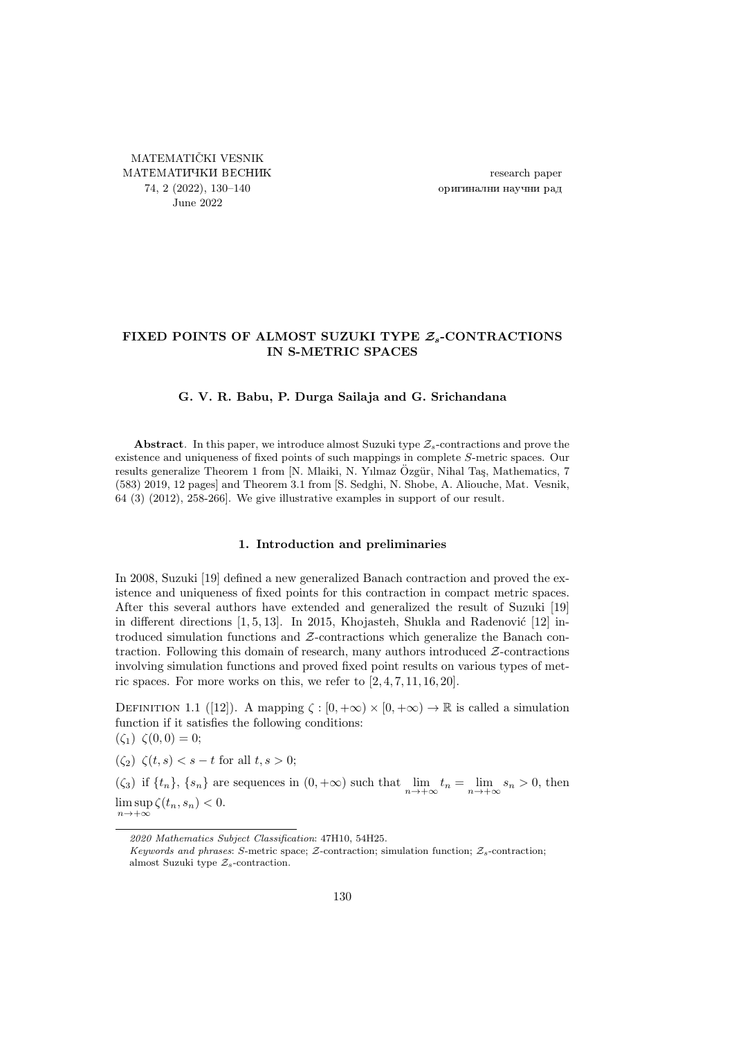<span id="page-0-0"></span>MATEMATIČKI VESNIK МАТЕМАТИЧКИ ВЕСНИК 74, 2 (2022), [130](#page-0-0)[–140](#page-10-0) June 2022

research paper оригинални научни рад

## FIXED POINTS OF ALMOST SUZUKI TYPE  $\mathcal{Z}_s$ -CONTRACTIONS IN S-METRIC SPACES

## G. V. R. Babu, P. Durga Sailaja and G. Srichandana

Abstract. In this paper, we introduce almost Suzuki type  $\mathcal{Z}_s$ -contractions and prove the existence and uniqueness of fixed points of such mappings in complete S-metric spaces. Our results generalize Theorem 1 from [N. Mlaiki, N. Yılmaz Özgür, Nihal Taş, Mathematics, 7 (583) 2019, 12 pages] and Theorem 3.1 from [S. Sedghi, N. Shobe, A. Aliouche, Mat. Vesnik, 64 (3) (2012), 258-266]. We give illustrative examples in support of our result.

## 1. Introduction and preliminaries

In 2008, Suzuki [\[19\]](#page-10-1) defined a new generalized Banach contraction and proved the existence and uniqueness of fixed points for this contraction in compact metric spaces. After this several authors have extended and generalized the result of Suzuki [\[19\]](#page-10-1) in different directions  $[1, 5, 13]$  $[1, 5, 13]$  $[1, 5, 13]$ . In 2015, Khojasteh, Shukla and Radenović  $[12]$  introduced simulation functions and Z-contractions which generalize the Banach contraction. Following this domain of research, many authors introduced  $Z$ -contractions involving simulation functions and proved fixed point results on various types of metric spaces. For more works on this, we refer to [\[2,](#page-9-2) [4,](#page-9-3) [7,](#page-9-4) [11,](#page-10-4) [16,](#page-10-5) [20\]](#page-10-6).

DEFINITION 1.1 ([\[12\]](#page-10-3)). A mapping  $\zeta : [0, +\infty) \times [0, +\infty) \to \mathbb{R}$  is called a simulation function if it satisfies the following conditions:

 $(\zeta_1) \; \zeta(0,0) = 0;$ 

<span id="page-0-1"></span> $(\zeta_2) \zeta(t,s) < s - t$  for all  $t, s > 0$ ;

<span id="page-0-2"></span>( $\zeta_3$ ) if  $\{t_n\}$ ,  $\{s_n\}$  are sequences in  $(0, +\infty)$  such that  $\lim_{n \to +\infty} t_n = \lim_{n \to +\infty} s_n > 0$ , then  $\limsup_{n\to+\infty}\zeta(t_n,s_n)<0.$ 

<sup>2020</sup> Mathematics Subject Classification: 47H10, 54H25.

Keywords and phrases: S-metric space; Z-contraction; simulation function;  $Z_s$ -contraction; almost Suzuki type  $\mathcal{Z}_s$ -contraction.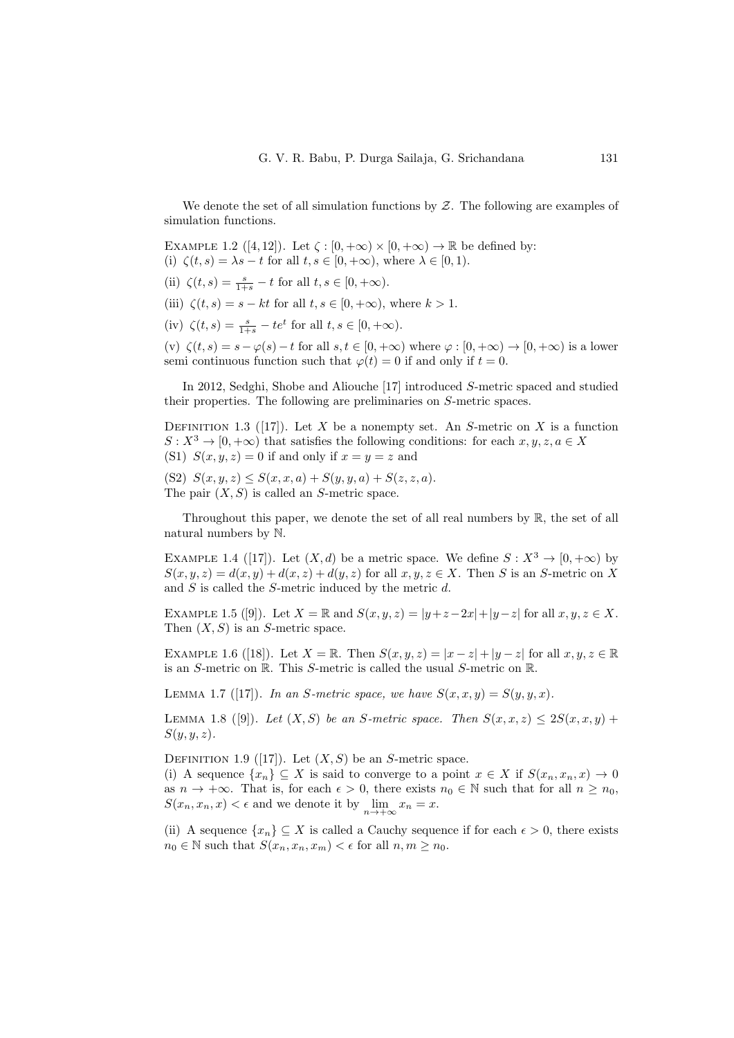We denote the set of all simulation functions by  $Z$ . The following are examples of simulation functions.

<span id="page-1-0"></span>EXAMPLE 1.2 ([\[4,](#page-9-3) [12\]](#page-10-3)). Let  $\zeta : [0, +\infty) \times [0, +\infty) \to \mathbb{R}$  be defined by:

(i)  $\zeta(t,s) = \lambda s - t$  for all  $t, s \in [0, +\infty)$ , where  $\lambda \in [0, 1)$ .

- (ii)  $\zeta(t,s) = \frac{s}{1+s} t$  for all  $t, s \in [0, +\infty)$ .
- (iii)  $\zeta(t,s) = s kt$  for all  $t, s \in [0, +\infty)$ , where  $k > 1$ .
- (iv)  $\zeta(t,s) = \frac{s}{1+s} te^t$  for all  $t, s \in [0, +\infty)$ .

<span id="page-1-1"></span>(v)  $\zeta(t,s) = s - \varphi(s) - t$  for all  $s, t \in [0, +\infty)$  where  $\varphi : [0, +\infty) \to [0, +\infty)$  is a lower semi continuous function such that  $\varphi(t) = 0$  if and only if  $t = 0$ .

In 2012, Sedghi, Shobe and Aliouche [\[17\]](#page-10-7) introduced S-metric spaced and studied their properties. The following are preliminaries on S-metric spaces.

DEFINITION 1.3 ([\[17\]](#page-10-7)). Let X be a nonempty set. An S-metric on X is a function  $S: X^3 \to [0, +\infty)$  that satisfies the following conditions: for each  $x, y, z, a \in X$ (S1)  $S(x, y, z) = 0$  if and only if  $x = y = z$  and

(S2)  $S(x, y, z) \leq S(x, x, a) + S(y, y, a) + S(z, z, a).$ The pair  $(X, S)$  is called an S-metric space.

Throughout this paper, we denote the set of all real numbers by  $\mathbb{R}$ , the set of all natural numbers by N.

EXAMPLE 1.4 ([\[17\]](#page-10-7)). Let  $(X, d)$  be a metric space. We define  $S: X^3 \to [0, +\infty)$  by  $S(x, y, z) = d(x, y) + d(x, z) + d(y, z)$  for all  $x, y, z \in X$ . Then S is an S-metric on X and S is called the S-metric induced by the metric d.

EXAMPLE 1.5 ([\[9\]](#page-9-5)). Let  $X = \mathbb{R}$  and  $S(x, y, z) = |y+z-2x|+|y-z|$  for all  $x, y, z \in X$ . Then  $(X, S)$  is an S-metric space.

EXAMPLE 1.6 ([\[18\]](#page-10-8)). Let  $X = \mathbb{R}$ . Then  $S(x, y, z) = |x - z| + |y - z|$  for all  $x, y, z \in \mathbb{R}$ is an S-metric on R. This S-metric is called the usual S-metric on R.

LEMMA 1.7 ([\[17\]](#page-10-7)). In an S-metric space, we have  $S(x, x, y) = S(y, y, x)$ .

LEMMA 1.8 ([\[9\]](#page-9-5)). Let  $(X, S)$  be an S-metric space. Then  $S(x, x, z) \leq 2S(x, x, y)$  +  $S(y, y, z)$ .

DEFINITION 1.9 ([\[17\]](#page-10-7)). Let  $(X, S)$  be an S-metric space.

(i) A sequence  $\{x_n\} \subseteq X$  is said to converge to a point  $x \in X$  if  $S(x_n, x_n, x) \to 0$ as  $n \to +\infty$ . That is, for each  $\epsilon > 0$ , there exists  $n_0 \in \mathbb{N}$  such that for all  $n \geq n_0$ ,  $S(x_n, x_n, x) < \epsilon$  and we denote it by  $\lim_{n \to +\infty} x_n = x$ .

(ii) A sequence  $\{x_n\} \subseteq X$  is called a Cauchy sequence if for each  $\epsilon > 0$ , there exists  $n_0 \in \mathbb{N}$  such that  $S(x_n, x_n, x_m) < \epsilon$  for all  $n, m \geq n_0$ .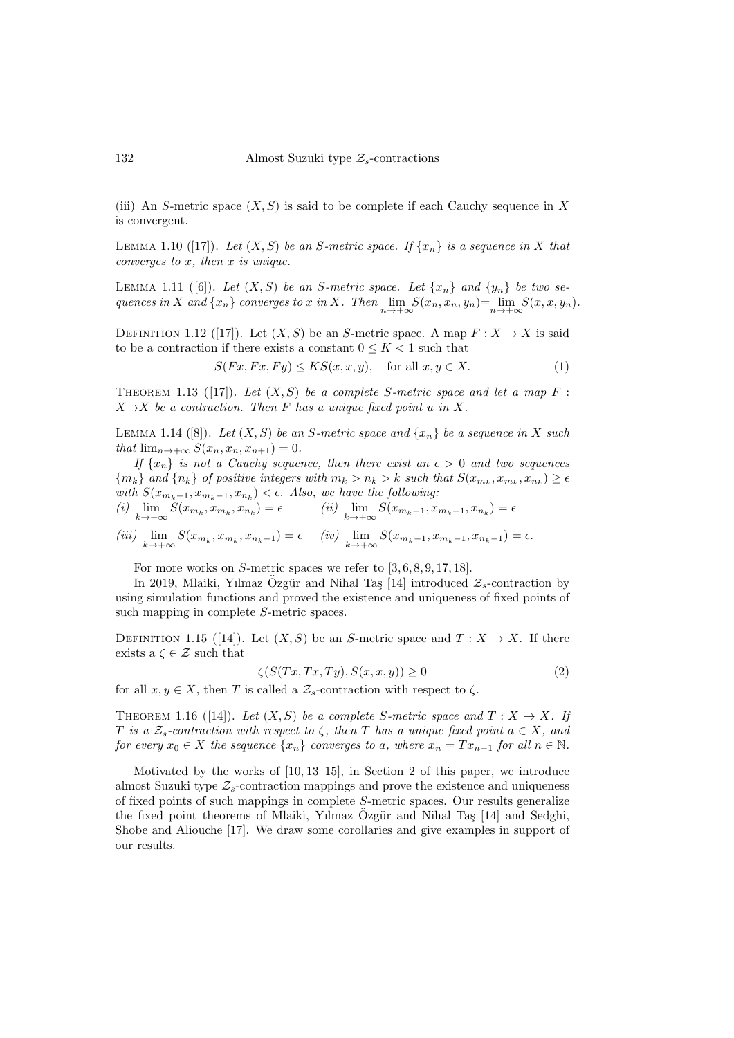(iii) An S-metric space  $(X, S)$  is said to be complete if each Cauchy sequence in X is convergent.

LEMMA 1.10 ([\[17\]](#page-10-7)). Let  $(X, S)$  be an S-metric space. If  $\{x_n\}$  is a sequence in X that converges to  $x$ , then  $x$  is unique.

LEMMA 1.11 ([\[6\]](#page-9-6)). Let  $(X, S)$  be an S-metric space. Let  $\{x_n\}$  and  $\{y_n\}$  be two sequences in X and  $\{x_n\}$  converges to x in X. Then  $\lim_{n\to+\infty} S(x_n, x_n, y_n) = \lim_{n\to+\infty} S(x, x, y_n)$ .

DEFINITION 1.12 ([\[17\]](#page-10-7)). Let  $(X, S)$  be an S-metric space. A map  $F: X \to X$  is said to be a contraction if there exists a constant  $0 \leq K < 1$  such that

<span id="page-2-6"></span>
$$
S(Fx, Fx, Fy) \le KS(x, x, y), \quad \text{for all } x, y \in X. \tag{1}
$$

<span id="page-2-5"></span>THEOREM 1.13 ([\[17\]](#page-10-7)). Let  $(X, S)$  be a complete S-metric space and let a map F:  $X \rightarrow X$  be a contraction. Then F has a unique fixed point u in X.

<span id="page-2-1"></span>LEMMA 1.14 ([\[8\]](#page-9-7)). Let  $(X, S)$  be an S-metric space and  $\{x_n\}$  be a sequence in X such that  $\lim_{n\to+\infty} S(x_n, x_n, x_{n+1}) = 0.$ 

If  $\{x_n\}$  is not a Cauchy sequence, then there exist an  $\epsilon > 0$  and two sequences  ${m_k}$  and  ${n_k}$  of positive integers with  $m_k > n_k > k$  such that  $S(x_{m_k}, x_{m_k}, x_{n_k}) \ge \epsilon$ with  $S(x_{m_k-1}, x_{m_k-1}, x_{n_k}) < \epsilon$ . Also, we have the following:

<span id="page-2-2"></span>
$$
(i) \lim_{k \to +\infty} S(x_{m_k}, x_{m_k}, x_{n_k}) = \epsilon \qquad (ii) \lim_{k \to +\infty} S(x_{m_k-1}, x_{m_k-1}, x_{n_k}) = \epsilon
$$

$$
(iii) \lim_{k \to +\infty} S(x_{m_k}, x_{m_k}, x_{n_{k-1}}) = \epsilon \quad (iv) \lim_{k \to +\infty} S(x_{m_k-1}, x_{m_k-1}, x_{n_k-1}) = \epsilon.
$$

For more works on  $S$ -metric spaces we refer to  $[3, 6, 8, 9, 17, 18]$  $[3, 6, 8, 9, 17, 18]$  $[3, 6, 8, 9, 17, 18]$  $[3, 6, 8, 9, 17, 18]$  $[3, 6, 8, 9, 17, 18]$  $[3, 6, 8, 9, 17, 18]$ .

In 2019, Mlaiki, Yılmaz Ozgür and Nihal Taş [\[14\]](#page-10-9) introduced  $\mathcal{Z}_s$ -contraction by using simulation functions and proved the existence and uniqueness of fixed points of such mapping in complete S-metric spaces.

DEFINITION 1.15 ([\[14\]](#page-10-9)). Let  $(X, S)$  be an S-metric space and  $T : X \to X$ . If there exists a  $\zeta \in \mathcal{Z}$  such that

<span id="page-2-7"></span><span id="page-2-3"></span>
$$
\zeta(S(Tx, Tx, Ty), S(x, x, y)) \ge 0\tag{2}
$$

for all  $x, y \in X$ , then T is called a  $\mathcal{Z}_s$ -contraction with respect to  $\zeta$ .

<span id="page-2-4"></span>THEOREM 1.16 ([\[14\]](#page-10-9)). Let  $(X, S)$  be a complete S-metric space and  $T : X \to X$ . If T is a  $\mathcal{Z}_s$ -contraction with respect to  $\zeta$ , then T has a unique fixed point  $a \in X$ , and for every  $x_0 \in X$  the sequence  $\{x_n\}$  converges to a, where  $x_n = Tx_{n-1}$  for all  $n \in \mathbb{N}$ .

<span id="page-2-0"></span>Motivated by the works of [\[10,](#page-10-10) [13–](#page-10-2)[15\]](#page-10-11), in Section [2](#page-2-0) of this paper, we introduce almost Suzuki type  $\mathcal{Z}_s$ -contraction mappings and prove the existence and uniqueness of fixed points of such mappings in complete S-metric spaces. Our results generalize the fixed point theorems of Mlaiki, Yılmaz Ozgür and Nihal Taş [\[14\]](#page-10-9) and Sedghi, Shobe and Aliouche [\[17\]](#page-10-7). We draw some corollaries and give examples in support of our results.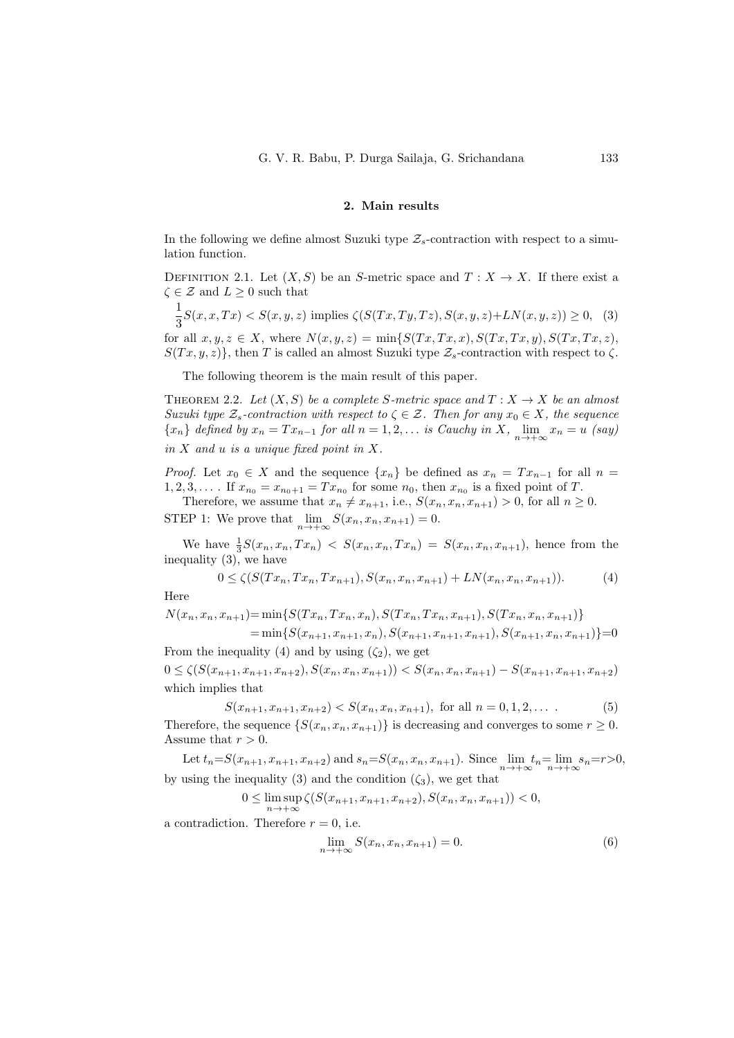## <span id="page-3-0"></span>2. Main results

In the following we define almost Suzuki type  $\mathcal{Z}_s$ -contraction with respect to a simulation function.

DEFINITION 2.1. Let  $(X, S)$  be an S-metric space and  $T : X \to X$ . If there exist a  $\zeta \in \mathcal{Z}$  and  $L \geq 0$  such that

$$
\frac{1}{3}S(x,x,Tx) < S(x,y,z) \text{ implies } \zeta(S(Tx,Ty,Tz),S(x,y,z)+LN(x,y,z)) \ge 0, \tag{3}
$$

for all  $x, y, z \in X$ , where  $N(x, y, z) = \min\{S(Tx, Tx, x), S(Tx, Tx, y), S(Tx, Tx, z),\}$  $S(Tx, y, z)$ , then T is called an almost Suzuki type  $\mathcal{Z}_s$ -contraction with respect to  $\zeta$ .

The following theorem is the main result of this paper.

<span id="page-3-4"></span>THEOREM 2.2. Let  $(X, S)$  be a complete S-metric space and  $T : X \to X$  be an almost Suzuki type  $\mathcal{Z}_s$ -contraction with respect to  $\zeta \in \mathcal{Z}$ . Then for any  $x_0 \in X$ , the sequence  ${x_n}$  defined by  $x_n = Tx_{n-1}$  for all  $n = 1, 2, \ldots$  is Cauchy in X,  $\lim_{n \to +\infty} x_n = u$  (say) in  $X$  and  $u$  is a unique fixed point in  $X$ .

*Proof.* Let  $x_0 \in X$  and the sequence  $\{x_n\}$  be defined as  $x_n = Tx_{n-1}$  for all  $n =$  $1, 2, 3, \ldots$  If  $x_{n_0} = x_{n_0+1} = Tx_{n_0}$  for some  $n_0$ , then  $x_{n_0}$  is a fixed point of T.

Therefore, we assume that  $x_n \neq x_{n+1}$ , i.e.,  $S(x_n, x_n, x_{n+1}) > 0$ , for all  $n \geq 0$ . STEP 1: We prove that  $\lim_{n \to +\infty} S(x_n, x_n, x_{n+1}) = 0.$ 

We have  $\frac{1}{3}S(x_n, x_n, Tx_n) < S(x_n, x_n, Tx_n) = S(x_n, x_n, x_{n+1})$ , hence from the inequality [\(3\)](#page-3-0), we have

<span id="page-3-1"></span>
$$
0 \le \zeta(S(Tx_n, Tx_n, Tx_{n+1}), S(x_n, x_n, x_{n+1}) + LN(x_n, x_n, x_{n+1})).
$$
\n(4)

Here

 $N(x_n, x_n, x_{n+1}) = \min\{S(T x_n, T x_n, x_n), S(T x_n, T x_n, x_{n+1}), S(T x_n, x_n, x_{n+1})\}$  $=\min\{S(x_{n+1}, x_{n+1}, x_n), S(x_{n+1}, x_{n+1}, x_{n+1}), S(x_{n+1}, x_n, x_{n+1})\}=0$ From the inequality [\(4\)](#page-3-1) and by using  $(\zeta_2)$ , we get

 $0 \leq \zeta(S(x_{n+1}, x_{n+1}, x_{n+2}), S(x_n, x_n, x_{n+1})) < S(x_n, x_n, x_{n+1}) - S(x_{n+1}, x_{n+1}, x_{n+2})$ which implies that

$$
S(x_{n+1}, x_{n+1}, x_{n+2}) < S(x_n, x_n, x_{n+1}), \text{ for all } n = 0, 1, 2, \dots \tag{5}
$$

Therefore, the sequence  $\{S(x_n, x_n, x_{n+1})\}$  is decreasing and converges to some  $r \geq 0$ . Assume that  $r > 0$ .

Let  $t_n = S(x_{n+1}, x_{n+1}, x_{n+2})$  and  $s_n = S(x_n, x_n, x_{n+1})$ . Since  $\lim_{n \to +\infty} t_n = \lim_{n \to +\infty} s_n = r > 0$ , by using the inequality [\(3\)](#page-3-0) and the condition  $(\zeta_3)$ , we get that

$$
0 \le \limsup_{n \to +\infty} \zeta(S(x_{n+1}, x_{n+1}, x_{n+2}), S(x_n, x_n, x_{n+1})) < 0,
$$

a contradiction. Therefore  $r = 0$ , i.e.

<span id="page-3-3"></span><span id="page-3-2"></span>
$$
\lim_{n \to +\infty} S(x_n, x_n, x_{n+1}) = 0.
$$
\n(6)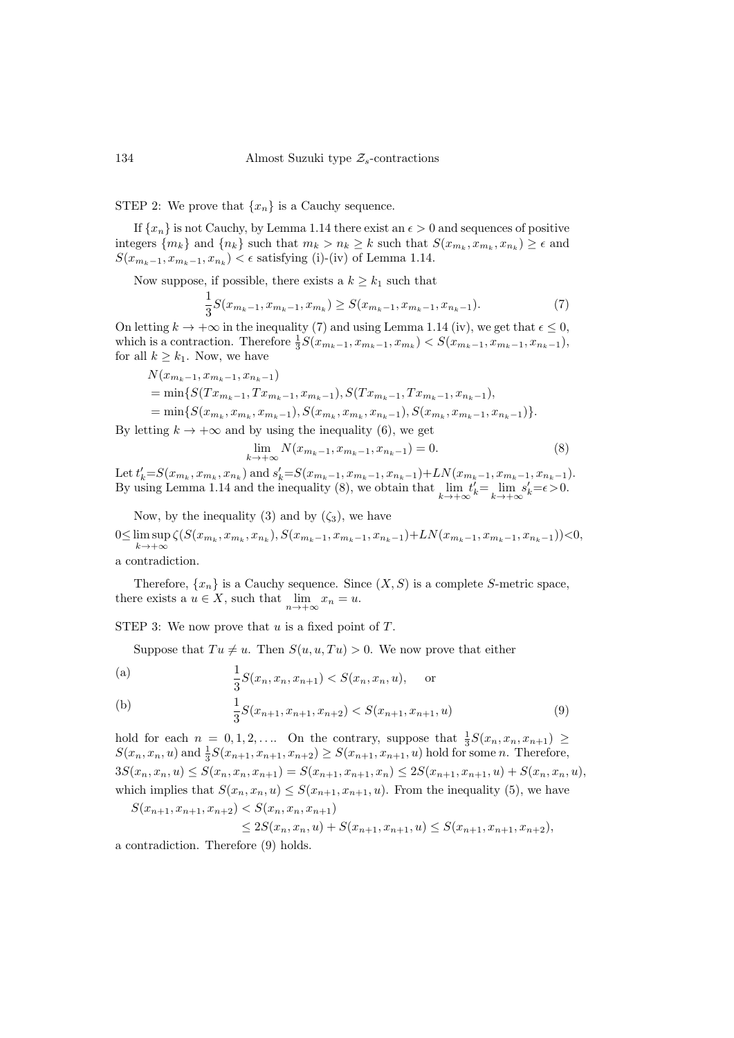STEP 2: We prove that  $\{x_n\}$  is a Cauchy sequence.

If  $\{x_n\}$  is not Cauchy, by Lemma [1.14](#page-2-1) there exist an  $\epsilon > 0$  and sequences of positive integers  $\{m_k\}$  and  $\{n_k\}$  such that  $m_k > n_k \geq k$  such that  $S(x_{m_k}, x_{m_k}, x_{n_k}) \geq \epsilon$  and  $S(x_{m_k-1}, x_{m_k-1}, x_{n_k}) < \epsilon$  satisfying [\(i\)](#page-2-2)[-\(iv\)](#page-2-3) of Lemma [1.14.](#page-2-1)

Now suppose, if possible, there exists a  $k\geq k_1$  such that

$$
\frac{1}{3}S(x_{m_k-1}, x_{m_k-1}, x_{m_k}) \ge S(x_{m_k-1}, x_{m_k-1}, x_{n_k-1}).
$$
\n(7)

On letting  $k \to +\infty$  in the inequality [\(7\)](#page-4-0) and using Lemma [1.14](#page-2-1) [\(iv\),](#page-2-3) we get that  $\epsilon \leq 0$ , which is a contraction. Therefore  $\frac{1}{3}S(x_{m_k-1}, x_{m_k-1}, x_{m_k}) < S(x_{m_k-1}, x_{m_k-1}, x_{n_k-1}),$ for all  $k \geq k_1$ . Now, we have

$$
N(x_{m_k-1}, x_{m_k-1}, x_{n_k-1})
$$
  
= min{ $S(Tx_{m_k-1}, Tx_{m_k-1}, x_{m_k-1}), S(Tx_{m_k-1}, Tx_{m_k-1}, x_{n_k-1}),$   
= min{ $S(x_{m_k}, x_{m_k}, x_{m_k-1}), S(x_{m_k}, x_{m_k-1}), S(x_{m_k}, x_{m_k-1}, x_{n_k-1})$  }.

By letting  $k \to +\infty$  and by using the inequality [\(6\)](#page-3-2), we get

<span id="page-4-1"></span><span id="page-4-0"></span>
$$
\lim_{k \to +\infty} N(x_{m_k - 1}, x_{m_k - 1}, x_{n_k - 1}) = 0.
$$
\n(8)

Let  $t'_{k} = S(x_{m_k}, x_{m_k}, x_{n_k})$  and  $s'_{k} = S(x_{m_k-1}, x_{m_k-1}, x_{n_k-1}) + LN(x_{m_k-1}, x_{m_k-1}, x_{n_k-1}).$ By using Lemma [1.14](#page-2-1) and the inequality [\(8\)](#page-4-1), we obtain that  $\lim_{k \to +\infty} t'_k = \lim_{k \to +\infty} s'_k = \epsilon > 0$ .

Now, by the inequality [\(3\)](#page-3-0) and by  $(\zeta_3)$ , we have

 $0 \leq \limsup \zeta(S(x_{m_k}, x_{m_k}, x_{n_k}), S(x_{m_k-1}, x_{m_k-1}, x_{n_k-1}) + LN(x_{m_k-1}, x_{m_k-1}, x_{n_k-1}))$  < 0,  $k \rightarrow +\infty$ 

a contradiction.

Therefore,  $\{x_n\}$  is a Cauchy sequence. Since  $(X, S)$  is a complete S-metric space, there exists a  $u \in X$ , such that  $\lim_{n \to +\infty} x_n = u$ .

STEP 3: We now prove that  $u$  is a fixed point of  $T$ .

Suppose that  $Tu \neq u$ . Then  $S(u, u, Tu) > 0$ . We now prove that either

<span id="page-4-3"></span>(a) 
$$
\frac{1}{3}S(x_n, x_n, x_{n+1}) < S(x_n, x_n, u)
$$
, or

<span id="page-4-4"></span>(b) 
$$
\frac{1}{3}S(x_{n+1}, x_{n+1}, x_{n+2}) < S(x_{n+1}, x_{n+1}, u) \tag{9}
$$

hold for each  $n = 0, 1, 2, \ldots$  On the contrary, suppose that  $\frac{1}{3}S(x_n, x_n, x_{n+1}) \geq$  $S(x_n, x_n, u)$  and  $\frac{1}{3}S(x_{n+1}, x_{n+1}, x_{n+2}) \ge S(x_{n+1}, x_{n+1}, u)$  hold for some n. Therefore,  $3S(x_n, x_n, u) \leq S(x_n, x_n, x_{n+1}) = S(x_{n+1}, x_{n+1}, x_n) \leq 2S(x_{n+1}, x_{n+1}, u) + S(x_n, x_n, u),$ which implies that  $S(x_n, x_n, u) \leq S(x_{n+1}, x_{n+1}, u)$ . From the inequality [\(5\)](#page-3-3), we have

$$
S(x_{n+1}, x_{n+1}, x_{n+2}) < S(x_n, x_n, x_{n+1})
$$

<span id="page-4-2"></span>
$$
\leq 2S(x_n, x_n, u) + S(x_{n+1}, x_{n+1}, u) \leq S(x_{n+1}, x_{n+1}, x_{n+2}),
$$

a contradiction. Therefore [\(9\)](#page-4-2) holds.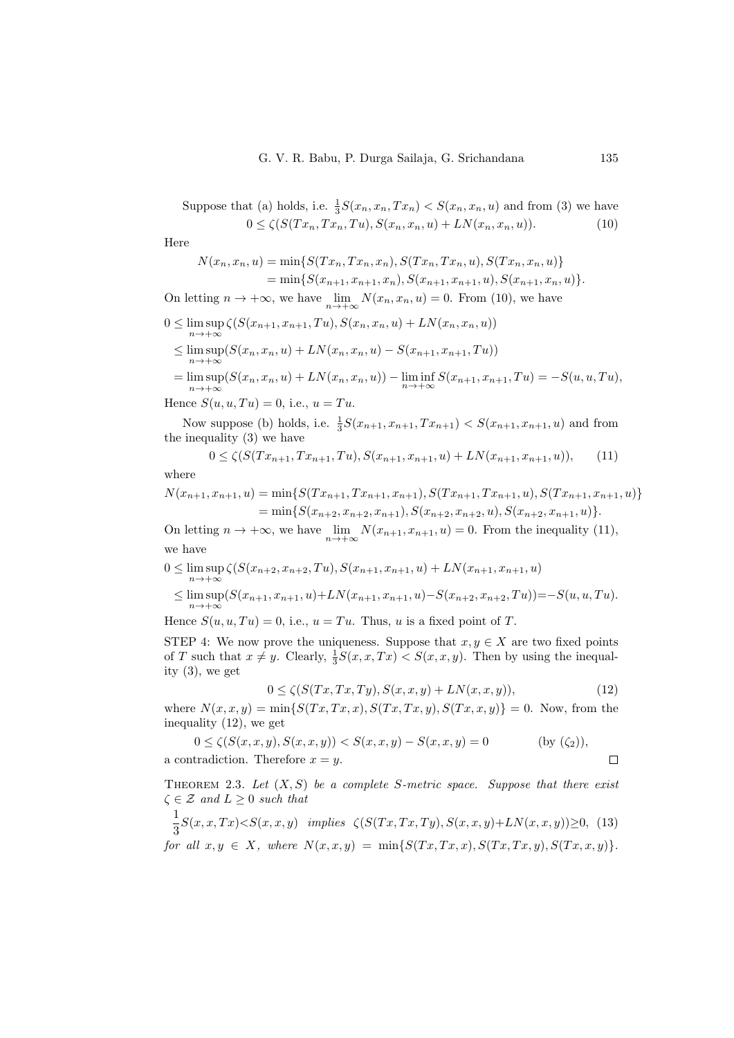Suppose that (a) holds, i.e. 
$$
\frac{1}{3}S(x_n, x_n, Tx_n) < S(x_n, x_n, u)
$$
 and from (3) we have  $0 \leq \zeta(S(Tx_n, Tx_n, Tu), S(x_n, x_n, u) + LN(x_n, x_n, u)).$  (10)

Here

<span id="page-5-0"></span>
$$
N(x_n, x_n, u) = \min\{S(Tx_n, Tx_n, x_n), S(Tx_n, Tx_n, u), S(Tx_n, x_n, u)\}
$$
  
=  $\min\{S(x_{n+1}, x_{n+1}, x_n), S(x_{n+1}, x_{n+1}, u), S(x_{n+1}, x_n, u)\}.$ 

On letting  $n \to +\infty$ , we have  $\lim_{n \to +\infty} N(x_n, x_n, u) = 0$ . From [\(10\)](#page-5-0), we have  $0 \leq \limsup \zeta(S(x_{n+1}, x_{n+1}, Tu), S(x_n, x_n, u) + LN(x_n, x_n, u))$  $n \rightarrow +\infty$ (S(xn, xn, u) + LN(xn, xn, u) − S(xn+1, xn+1, T u))

$$
\leq \limsup_{n \to +\infty} (S(x_n, x_n, u) + LN(x_n, x_n, u) - S(x_{n+1}, x_{n+1}, Tu))
$$
  
= 
$$
\limsup_{n \to +\infty} (S(x_n, x_n, u) + IN(x_n, x_n, u)) \quad \liminf_{n \to +\infty} S(x_n, x_n, u)
$$

$$
= \limsup_{n \to +\infty} (S(x_n, x_n, u) + LN(x_n, x_n, u)) - \liminf_{n \to +\infty} S(x_{n+1}, x_{n+1}, Tu) = -S(u, u, Tu),
$$

Hence  $S(u, u, Tu) = 0$ , i.e.,  $u = Tu$ .

Now suppose [\(b\)](#page-4-4) holds, i.e.  $\frac{1}{3}S(x_{n+1}, x_{n+1}, Tx_{n+1}) < S(x_{n+1}, x_{n+1}, u)$  and from the inequality [\(3\)](#page-3-0) we have

<span id="page-5-1"></span>
$$
0 \le \zeta(S(Tx_{n+1}, Tx_{n+1}, Tu), S(x_{n+1}, x_{n+1}, u) + LN(x_{n+1}, x_{n+1}, u)), \tag{11}
$$

where

$$
N(x_{n+1}, x_{n+1}, u) = \min\{S(Tx_{n+1}, Tx_{n+1}, x_{n+1}), S(Tx_{n+1}, Tx_{n+1}, u), S(Tx_{n+1}, x_{n+1}, u)\}
$$
  
=  $\min\{S(x_{n+2}, x_{n+2}, x_{n+1}), S(x_{n+2}, x_{n+2}, u), S(x_{n+2}, x_{n+1}, u)\}.$ 

On letting  $n \to +\infty$ , we have  $\lim_{n \to +\infty} N(x_{n+1}, x_{n+1}, u) = 0$ . From the inequality [\(11\)](#page-5-1), we have

$$
0 \leq \limsup_{n \to +\infty} \zeta(S(x_{n+2}, x_{n+2}, Tu), S(x_{n+1}, x_{n+1}, u) + LN(x_{n+1}, x_{n+1}, u)
$$
  
\n
$$
\leq \limsup_{n \to +\infty} (S(x_{n+1}, x_{n+1}, u) + LN(x_{n+1}, x_{n+1}, u) - S(x_{n+2}, x_{n+2}, Tu)) = -S(u, u, Tu).
$$

Hence  $S(u, u, Tu) = 0$ , i.e.,  $u = Tu$ . Thus, u is a fixed point of T.

STEP 4: We now prove the uniqueness. Suppose that  $x, y \in X$  are two fixed points of T such that  $x \neq y$ . Clearly,  $\frac{1}{3}S(x, x, Tx) < S(x, x, y)$ . Then by using the inequality [\(3\)](#page-3-0), we get

<span id="page-5-3"></span><span id="page-5-2"></span>
$$
0 \le \zeta(S(Tx, Tx, Ty), S(x, x, y) + LN(x, x, y)),\tag{12}
$$

where  $N(x, x, y) = \min\{S(Tx, Tx, x), S(Tx, Tx, y), S(Tx, x, y)\} = 0$ . Now, from the inequality [\(12\)](#page-5-2), we get

$$
0 \le \zeta(S(x, x, y), S(x, x, y)) < S(x, x, y) - S(x, x, y) = 0 \quad \text{(by (}\zeta_2\text{)),}
$$
\na contradiction. Therefore  $x = y$ .

<span id="page-5-4"></span>THEOREM 2.3. Let  $(X, S)$  be a complete S-metric space. Suppose that there exist  $\zeta \in \mathcal{Z}$  and  $L \geq 0$  such that

$$
\frac{1}{3}S(x,x,Tx) < S(x,x,y) \quad \text{implies} \quad \zeta(S(Tx,Tx,Ty),S(x,x,y)+LN(x,x,y)) \ge 0, \tag{13}
$$
\n
$$
\text{for all } x, y \in X, \text{ where } N(x,x,y) = \min\{S(Tx,Tx,x),S(Tx,Tx,y),S(Tx,x,y)\}.
$$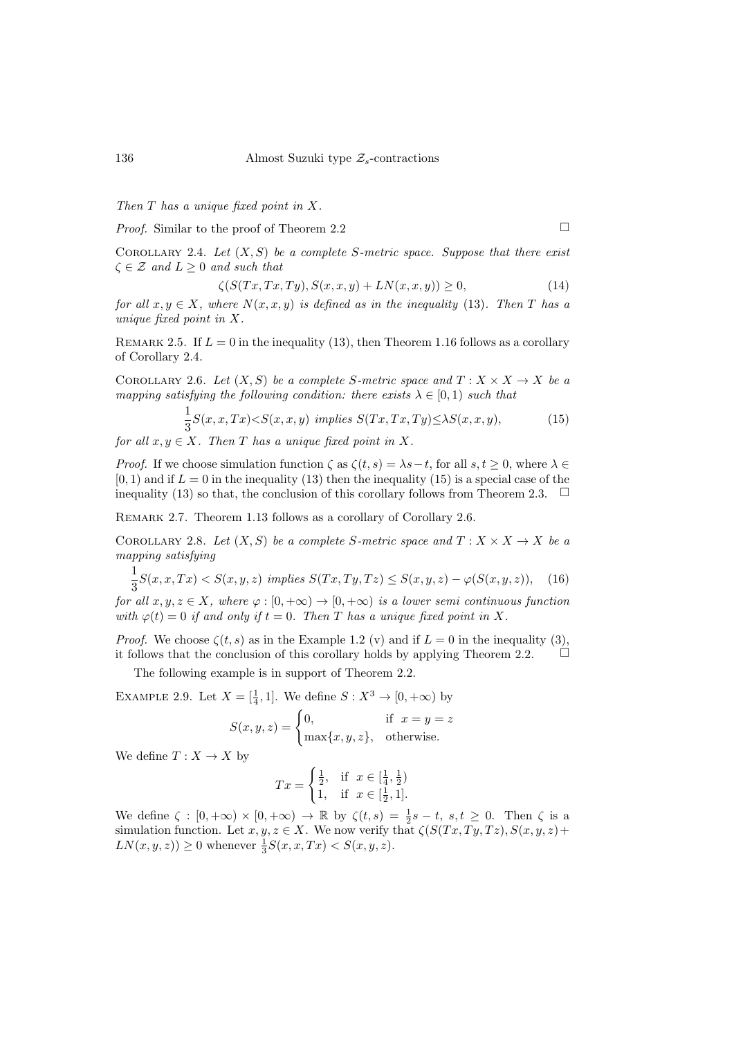Then T has a unique fixed point in X.

*Proof.* Similar to the proof of Theorem [2.2](#page-3-4)  $\Box$ 

<span id="page-6-1"></span>

<span id="page-6-0"></span>COROLLARY 2.4. Let  $(X, S)$  be a complete S-metric space. Suppose that there exist  $\zeta \in \mathcal{Z}$  and  $L > 0$  and such that

$$
\zeta(S(Tx, Tx, Ty), S(x, x, y) + LN(x, x, y)) \ge 0,\tag{14}
$$

for all  $x, y \in X$ , where  $N(x, x, y)$  is defined as in the inequality [\(13\)](#page-5-3). Then T has a unique fixed point in X.

<span id="page-6-4"></span>REMARK 2.5. If  $L = 0$  in the inequality [\(13\)](#page-5-3), then Theorem [1.16](#page-2-4) follows as a corollary of Corollary [2.4.](#page-6-0)

<span id="page-6-2"></span>COROLLARY 2.6. Let  $(X, S)$  be a complete S-metric space and  $T : X \times X \rightarrow X$  be a mapping satisfying the following condition: there exists  $\lambda \in [0,1)$  such that

$$
\frac{1}{3}S(x,x,Tx) < S(x,x,y) \implies S(Tx,Tx,Ty) \leq \lambda S(x,x,y),\tag{15}
$$

for all  $x, y \in X$ . Then T has a unique fixed point in X.

*Proof.* If we choose simulation function  $\zeta$  as  $\zeta(t, s) = \lambda s - t$ , for all  $s, t \geq 0$ , where  $\lambda \in$  $(0, 1)$  and if  $L = 0$  in the inequality [\(13\)](#page-5-3) then the inequality [\(15\)](#page-6-1) is a special case of the inequality [\(13\)](#page-5-3) so that, the conclusion of this corollary follows from Theorem [2.3.](#page-5-4)  $\Box$ 

<span id="page-6-3"></span>Remark 2.7. Theorem [1.13](#page-2-5) follows as a corollary of Corollary [2.6.](#page-6-2)

COROLLARY 2.8. Let  $(X, S)$  be a complete S-metric space and  $T : X \times X \rightarrow X$  be a mapping satisfying

$$
\frac{1}{3}S(x,x,Tx) < S(x,y,z) \implies S(Tx,Ty,Tz) \le S(x,y,z) - \varphi(S(x,y,z)), \quad (16)
$$

for all  $x, y, z \in X$ , where  $\varphi : [0, +\infty) \to [0, +\infty)$  is a lower semi continuous function with  $\varphi(t) = 0$  if and only if  $t = 0$ . Then T has a unique fixed point in X.

*Proof.* We choose  $\zeta(t,s)$  as in the Example [1.2](#page-1-0) [\(v\)](#page-1-1) and if  $L = 0$  in the inequality [\(3\)](#page-3-0), it follows that the conclusion of this corollary holds by applying Theorem [2.2.](#page-3-4)  $\Box$ 

The following example is in support of Theorem [2.2.](#page-3-4)

EXAMPLE 2.9. Let  $X = [\frac{1}{4}, 1]$ . We define  $S : X^3 \to [0, +\infty)$  by

$$
S(x, y, z) = \begin{cases} 0, & \text{if } x = y = z \\ \max\{x, y, z\}, & \text{otherwise.} \end{cases}
$$

We define  $T: X \to X$  by

$$
Tx = \begin{cases} \frac{1}{2}, & \text{if } x \in [\frac{1}{4}, \frac{1}{2}) \\ 1, & \text{if } x \in [\frac{1}{2}, 1]. \end{cases}
$$

We define  $\zeta : [0, +\infty) \times [0, +\infty) \to \mathbb{R}$  by  $\zeta(t, s) = \frac{1}{2}s - t$ ,  $s, t \geq 0$ . Then  $\zeta$  is a simulation function. Let  $x, y, z \in X$ . We now verify that  $\zeta(S(Tx, Ty, Tz), S(x, y, z)+$  $LN(x, y, z)) \ge 0$  whenever  $\frac{1}{3}S(x, x, Tx) < S(x, y, z)$ .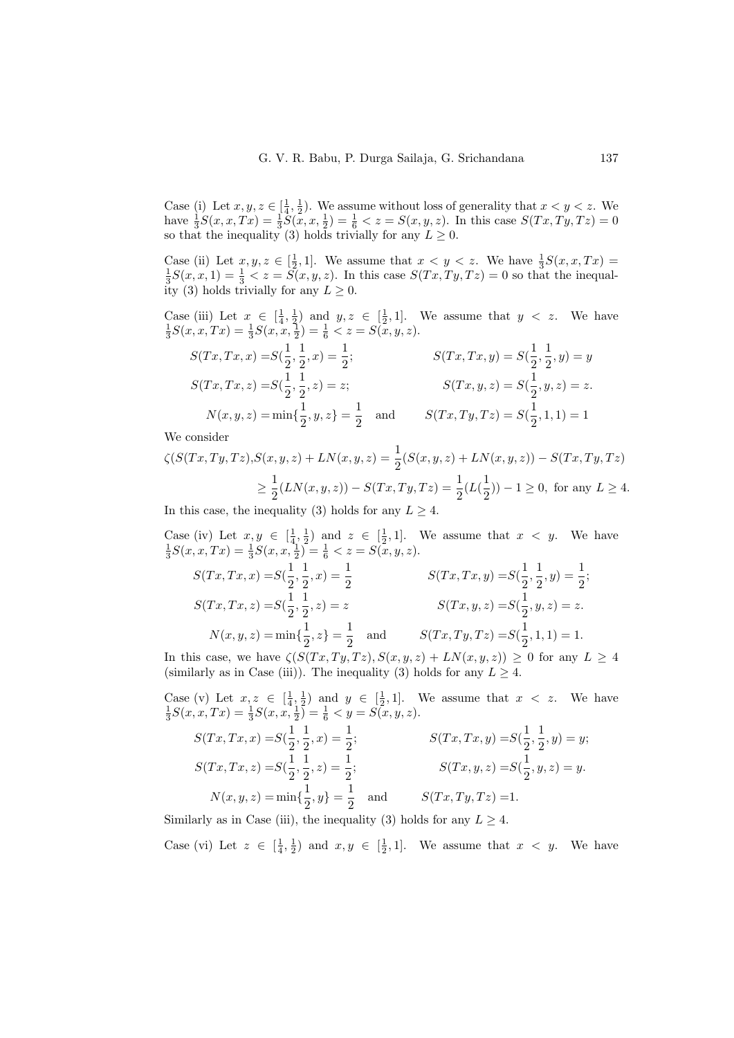Case (i) Let  $x, y, z \in \left[\frac{1}{4}, \frac{1}{2}\right)$ . We assume without loss of generality that  $x < y < z$ . We have  $\frac{1}{3}S(x, x, Tx) = \frac{1}{3}\tilde{S(x, x, \frac{1}{2})} = \frac{1}{6} < z = S(x, y, z)$ . In this case  $S(Tx, Ty, Tz) = 0$ so that the inequality [\(3\)](#page-3-0) holds trivially for any  $L \geq 0$ .

Case (ii) Let  $x, y, z \in [\frac{1}{2}, 1]$ . We assume that  $x < y < z$ . We have  $\frac{1}{3}S(x, x, Tx) = \frac{1}{3}S(x, x, 1) = \frac{1}{3} < z = S(x, y, z)$ . In this case  $S(Tx, Ty, Tz) = 0$  so that the inequal-ity [\(3\)](#page-3-0) holds trivially for any  $L > 0$ .

<span id="page-7-0"></span>Case (iii) Let  $x \in \left[\frac{1}{4}, \frac{1}{2}\right)$  and  $y, z \in \left[\frac{1}{2}, 1\right]$ . We assume that  $y < z$ . We have  $\frac{1}{3}S(x, x, Tx) = \frac{1}{3}S(x, x, \frac{1}{2}) = \frac{1}{6} \langle z = S(x, y, z) \rangle$ .

$$
S(Tx, Tx, x) = S(\frac{1}{2}, \frac{1}{2}, x) = \frac{1}{2};
$$
  
\n
$$
S(Tx, Tx, y) = S(\frac{1}{2}, \frac{1}{2}, y) = y
$$
  
\n
$$
S(Tx, Tx, y) = S(\frac{1}{2}, \frac{1}{2}, y) = y
$$
  
\n
$$
S(Tx, y, z) = S(\frac{1}{2}, y, z) = z.
$$
  
\n
$$
N(x, y, z) = min\{\frac{1}{2}, y, z\} = \frac{1}{2} \text{ and } S(Tx, Ty, Tz) = S(\frac{1}{2}, 1, 1) = 1
$$

We consider

$$
\zeta(S(Tx, Ty, Tz), S(x, y, z) + LN(x, y, z) = \frac{1}{2}(S(x, y, z) + LN(x, y, z)) - S(Tx, Ty, Tz)
$$
  
\n
$$
\geq \frac{1}{2}(LN(x, y, z)) - S(Tx, Ty, Tz) = \frac{1}{2}(L(\frac{1}{2})) - 1 \geq 0, \text{ for any } L \geq 4.
$$

In this case, the inequality [\(3\)](#page-3-0) holds for any  $L \geq 4$ .

Case (iv) Let  $x, y \in [\frac{1}{4}, \frac{1}{2})$  and  $z \in [\frac{1}{2}, 1]$ . We assume that  $x < y$ . We have  $\frac{1}{3}S(x, x, Tx) = \frac{1}{3}S(x, x, \frac{1}{2}) = \frac{1}{6} < z = S(x, y, z)$ .  $S(Tx, Tx, x) = S(\frac{1}{2}, \frac{1}{2}, x) = \frac{1}{2}$  $S(Tx, Tx, y) = S(\frac{1}{2})$  $\frac{1}{2}, \frac{1}{2}$  $\frac{1}{2}, y) = \frac{1}{2};$ 

$$
S(Tx, Tx, z) = S(\frac{1}{2}, \frac{1}{2}, z) = z
$$
  
\n
$$
S(Tx, Tx, z) = S(\frac{1}{2}, \frac{1}{2}, z) = z
$$
  
\n
$$
S(Tx, y, z) = S(\frac{1}{2}, y, z) = z.
$$
  
\n
$$
S(Tx, y, z) = S(\frac{1}{2}, y, z) = z.
$$
  
\n
$$
S(Tx, Ty, Tz) = S(\frac{1}{2}, 1, 1) = 1.
$$

In this case, we have  $\zeta(S(Tx,Ty,Tz),S(x,y,z)+LN(x,y,z)) \geq 0$  for any  $L \geq 4$ (similarly as in [Case \(iii\)\)](#page-7-0). The inequality [\(3\)](#page-3-0) holds for any  $L \geq 4$ .

Case (v) Let  $x, z \in [\frac{1}{4}, \frac{1}{2})$  and  $y \in [\frac{1}{2}, 1]$ . We assume that  $x < z$ . We have  $\frac{1}{3}S(x, x, Tx) = \frac{1}{3}S(x, x, \frac{1}{2}) = \frac{1}{6} < y = S(x, y, z)$ .  $S(Tx, Tx, x) = S(\frac{1}{2})$  $\frac{1}{2}, \frac{1}{2}$  $\frac{1}{2}$ , x) =  $\frac{1}{2}$ ;  $S(Tx, Tx, y) = S(\frac{1}{2})$  $\frac{1}{2}, \frac{1}{2}$  $(\frac{1}{2}, y) = y;$  $S(Tx, Tx, z) = S(\frac{1}{2})$  $\frac{1}{2}, \frac{1}{2}$  $\frac{1}{2}$ , z) =  $\frac{1}{2}$ ;  $S(Tx, y, z) = S(\frac{1}{2})$  $\frac{1}{2}, y, z) = y.$  $N(x, y, z) = \min\{\frac{1}{2},\}$  $\frac{1}{2}, y$ } =  $\frac{1}{2}$  $\frac{1}{2}$  and  $S(Tx, Ty, Tz) =1.$ 

Similarly as in [Case \(iii\),](#page-7-0) the inequality [\(3\)](#page-3-0) holds for any  $L \geq 4$ .

<span id="page-7-1"></span>Case (vi) Let  $z \in [\frac{1}{4}, \frac{1}{2})$  and  $x, y \in [\frac{1}{2}, 1]$ . We assume that  $x < y$ . We have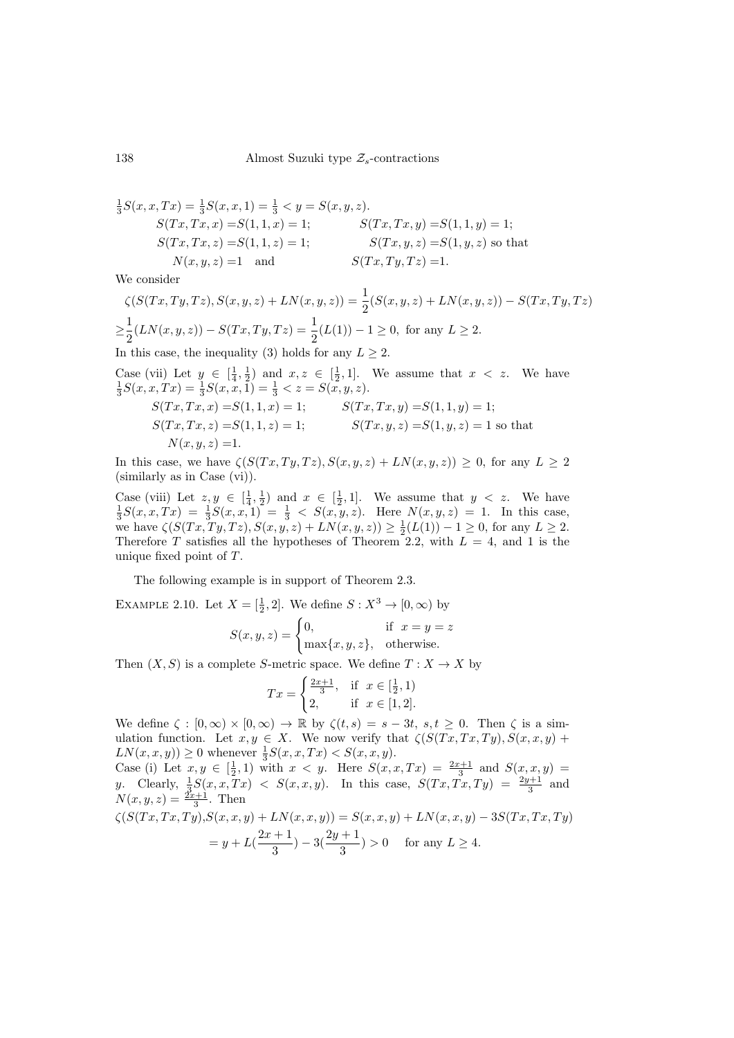$$
\frac{1}{3}S(x, x, Tx) = \frac{1}{3}S(x, x, 1) = \frac{1}{3} < y = S(x, y, z).
$$
  
\n
$$
S(Tx, Tx, x) = S(1, 1, x) = 1; \qquad S(Tx, Tx, y) = S(1, 1, y) = 1;
$$
  
\n
$$
S(Tx, Tx, z) = S(1, 1, z) = 1; \qquad S(Tx, y, z) = S(1, y, z) \text{ so that}
$$
  
\n
$$
N(x, y, z) = 1 \text{ and } S(Tx, Ty, Tz) = 1.
$$

We consider

$$
\zeta(S(Tx,Ty,Tz),S(x,y,z)+LN(x,y,z)) = \frac{1}{2}(S(x,y,z)+LN(x,y,z)) - S(Tx,Ty,Tz)
$$

$$
\geq \frac{1}{2}(LN(x,y,z)) - S(Tx,Ty,Tz) = \frac{1}{2}(L(1)) - 1 \geq 0, \text{ for any } L \geq 2.
$$
  
In this case, the inequality (3) holds for any  $L \geq 2$ .

Case (vii) Let  $y \in [\frac{1}{4}, \frac{1}{2})$  and  $x, z \in [\frac{1}{2}, 1]$ . We assume that  $x < z$ . We have  $\frac{1}{3}S(x, x, Tx) = \frac{1}{3}S(x, x, 1) = \frac{1}{3} < z = S(x, y, z)$ .  $S(T x, T x, x) = S(1, 1, x) = 1;$   $S(T x, T x, y) = S(1, 1, y) = 1;$  $S(T x, T x, z) = S(1, 1, z) = 1;$   $S(T x, y, z) = S(1, y, z) = 1$  so that  $N(x, y, z) = 1.$ 

In this case, we have  $\zeta(S(Tx,Ty,Tz),S(x,y,z)+LN(x,y,z))\geq 0$ , for any  $L\geq 2$ (similarly as in [Case \(vi\)\)](#page-7-1).

Case (viii) Let  $z, y \in \left[\frac{1}{4}, \frac{1}{2}\right)$  and  $x \in \left[\frac{1}{2}, 1\right]$ . We assume that  $y < z$ . We have  $\frac{1}{3}S(x, x, Tx) = \frac{1}{3}S(x, x, 1) = \frac{1}{3} < S(x, y, z)$ . Here  $N(x, y, z) = 1$ . In this case, we have  $\zeta(S(Tx, Ty, Tz), S(x, y, z) + LN(x, y, z)) \geq \frac{1}{2}(L(1)) - 1 \geq 0$ , for any  $L \geq 2$ . Therefore T satisfies all the hypotheses of Theorem [2.2,](#page-3-4) with  $L = 4$ , and 1 is the unique fixed point of T.

The following example is in support of Theorem [2.3.](#page-5-4)

EXAMPLE 2.10. Let  $X = \begin{bmatrix} 1 \\ 2 \end{bmatrix}$ . We define  $S : X^3 \to [0, \infty)$  by

$$
S(x, y, z) = \begin{cases} 0, & \text{if } x = y = z \\ \max\{x, y, z\}, & \text{otherwise.} \end{cases}
$$

Then  $(X, S)$  is a complete S-metric space. We define  $T : X \to X$  by

$$
Tx = \begin{cases} \frac{2x+1}{3}, & \text{if } x \in [\frac{1}{2}, 1) \\ 2, & \text{if } x \in [1, 2]. \end{cases}
$$

We define  $\zeta : [0, \infty) \times [0, \infty) \to \mathbb{R}$  by  $\zeta(t, s) = s - 3t, s, t \geq 0$ . Then  $\zeta$  is a simulation function. Let  $x, y \in X$ . We now verify that  $\zeta(S(Tx, Tx, Ty), S(x, x, y) +$  $LN(x, x, y)) \ge 0$  whenever  $\frac{1}{3}S(x, x, Tx) < S(x, x, y)$ .

Case (i) Let  $x, y \in [\frac{1}{2}, 1)$  with  $x < y$ . Here  $S(x, x, Tx) = \frac{2x+1}{3}$  and  $S(x, x, y) =$ y. Clearly,  $\frac{1}{3}S(x,x,Tx) < S(x,x,y)$ . In this case,  $S(Tx,Tx,Ty) = \frac{2y+1}{3}$  and  $N(x, y, z) = \frac{2x+1}{3}$ . Then

$$
\zeta(S(Tx, Tx, Ty), S(x, x, y) + LN(x, x, y)) = S(x, x, y) + LN(x, x, y) - 3S(Tx, Tx, Ty)
$$
  
=  $y + L(\frac{2x + 1}{3}) - 3(\frac{2y + 1}{3}) > 0$  for any  $L \ge 4$ .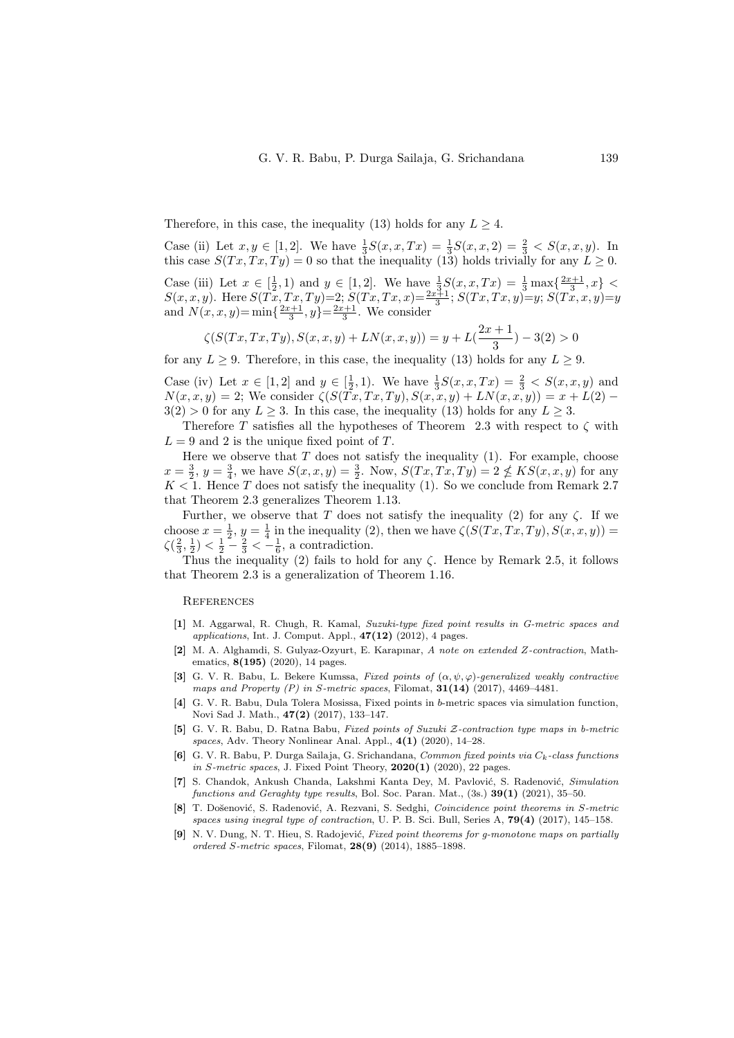Therefore, in this case, the inequality [\(13\)](#page-5-3) holds for any  $L > 4$ .

Case (ii) Let  $x, y \in [1, 2]$ . We have  $\frac{1}{3}S(x, x, Tx) = \frac{1}{3}S(x, x, 2) = \frac{2}{3} < S(x, x, y)$ . In this case  $S(Tx, Tx, Ty) = 0$  so that the inequality [\(13\)](#page-5-3) holds trivially for any  $L \geq 0$ . Case (iii) Let  $x \in [\frac{1}{2}, 1)$  and  $y \in [1, 2]$ . We have  $\frac{1}{3}S(x, x, Tx) = \frac{1}{3} \max{\frac{2x+1}{3}, x}$  $S(x, x, y)$ . Here  $S(Tx, Tx, Ty) = 2$ ;  $S(Tx, Tx, x) = \frac{2x+1}{3}$ ;  $S(Tx, Tx, y) = y$ ;  $S(Tx, x, y) = y$ and  $N(x, x, y) = \min\{\frac{2x+1}{3}, y\} = \frac{2x+1}{3}$ . We consider

$$
\zeta(S(Tx,Tx,Ty),S(x,x,y)+LN(x,x,y))=y+L(\frac{2x+1}{3})-3(2)>0
$$

for any  $L \geq 9$ . Therefore, in this case, the inequality [\(13\)](#page-5-3) holds for any  $L \geq 9$ .

Case (iv) Let  $x \in [1,2]$  and  $y \in [\frac{1}{2},1)$ . We have  $\frac{1}{3}S(x,x,Tx) = \frac{2}{3} < S(x,x,y)$  and  $N(x, x, y) = 2$ ; We consider  $\zeta(S(\tilde{T}x, Tx, Ty), S(x, x, y) + LN(x, x, y)) = x + L(2) 3(2) > 0$  for any  $L \geq 3$ . In this case, the inequality [\(13\)](#page-5-3) holds for any  $L \geq 3$ .

Therefore T satisfies all the hypotheses of Theorem [2.3](#page-5-4) with respect to  $\zeta$  with  $L = 9$  and 2 is the unique fixed point of T.

Here we observe that  $T$  does not satisfy the inequality  $(1)$ . For example, choose  $x = \frac{3}{2}, y = \frac{3}{4}$ , we have  $S(x, x, y) = \frac{3}{2}$ . Now,  $S(Tx, Tx, Ty) = 2 \nleq KS(x, x, y)$  for any  $K < 1$ . Hence T does not satisfy the inequality [\(1\)](#page-2-6). So we conclude from Remark [2.7](#page-6-3) that Theorem [2.3](#page-5-4) generalizes Theorem [1.13.](#page-2-5)

Further, we observe that T does not satisfy the inequality [\(2\)](#page-2-7) for any  $\zeta$ . If we choose  $x = \frac{1}{2}$ ,  $y = \frac{1}{4}$  in the inequality [\(2\)](#page-2-7), then we have  $\zeta(S(Tx, Tx, Ty), S(x, x, y)) =$  $\zeta(\frac{2}{3},\frac{1}{2}) < \frac{1}{2} - \frac{2}{3} < -\frac{1}{6}$ , a contradiction.

Thus the inequality [\(2\)](#page-2-7) fails to hold for any  $\zeta$ . Hence by Remark [2.5,](#page-6-4) it follows that Theorem [2.3](#page-5-4) is a generalization of Theorem [1.16.](#page-2-4)

**REFERENCES** 

- <span id="page-9-0"></span>[1] M. Aggarwal, R. Chugh, R. Kamal, Suzuki-type fixed point results in G-metric spaces and applications, Int. J. Comput. Appl.,  $47(12)$   $(2012)$ , 4 pages.
- <span id="page-9-2"></span>[2] M. A. Alghamdi, S. Gulyaz-Ozyurt, E. Karapınar, A note on extended Z-contraction, Mathematics, 8(195) (2020), 14 pages.
- <span id="page-9-8"></span>[3] G. V. R. Babu, L. Bekere Kumssa, Fixed points of  $(\alpha, \psi, \varphi)$ -generalized weakly contractive maps and Property  $(P)$  in S-metric spaces, Filomat,  $31(14)$  (2017), 4469-4481.
- <span id="page-9-3"></span>[4] G. V. R. Babu, Dula Tolera Mosissa, Fixed points in b-metric spaces via simulation function, Novi Sad J. Math., 47(2) (2017), 133–147.
- <span id="page-9-1"></span>[5] G. V. R. Babu, D. Ratna Babu, Fixed points of Suzuki Z-contraction type maps in b-metric spaces, Adv. Theory Nonlinear Anal. Appl.,  $4(1)$  (2020), 14–28.
- <span id="page-9-6"></span>[6] G. V. R. Babu, P. Durga Sailaja, G. Srichandana, Common fixed points via  $C_k$ -class functions in S-metric spaces, J. Fixed Point Theory,  $2020(1)$  (2020), 22 pages.
- <span id="page-9-4"></span>[7] S. Chandok, Ankush Chanda, Lakshmi Kanta Dey, M. Pavlović, S. Radenović, Simulation functions and Geraghty type results, Bol. Soc. Paran. Mat.,  $(3s.)$  39(1) (2021), 35–50.
- <span id="page-9-7"></span>[8] T. Došenović, S. Radenović, A. Rezvani, S. Sedghi, Coincidence point theorems in S-metric spaces using inegral type of contraction, U. P. B. Sci. Bull, Series A,  $79(4)$  (2017), 145–158.
- <span id="page-9-5"></span>[9] N. V. Dung, N. T. Hieu, S. Radojević, Fixed point theorems for g-monotone maps on partially ordered S-metric spaces, Filomat, 28(9) (2014), 1885–1898.